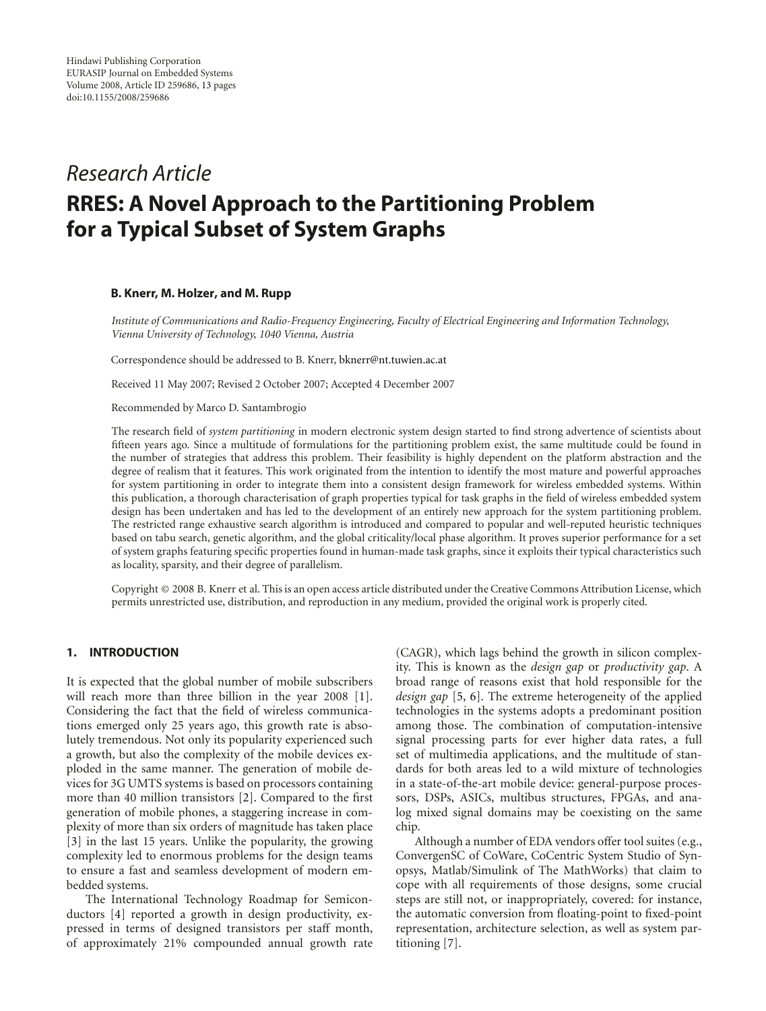## *Research Article*

# **RRES: A Novel Approach to the Partitioning Problem for a Typical Subset of System Graphs**

#### **B. Knerr, M. Holzer, and M. Rupp**

*Institute of Communications and Radio-Frequency Engineering, Faculty of Electrical Engineering and Information Technology, Vienna University of Technology, 1040 Vienna, Austria*

Correspondence should be addressed to B. Knerr, bknerr@nt.tuwien.ac.at

Received 11 May 2007; Revised 2 October 2007; Accepted 4 December 2007

Recommended by Marco D. Santambrogio

The research field of *system partitioning* in modern electronic system design started to find strong advertence of scientists about fifteen years ago. Since a multitude of formulations for the partitioning problem exist, the same multitude could be found in the number of strategies that address this problem. Their feasibility is highly dependent on the platform abstraction and the degree of realism that it features. This work originated from the intention to identify the most mature and powerful approaches for system partitioning in order to integrate them into a consistent design framework for wireless embedded systems. Within this publication, a thorough characterisation of graph properties typical for task graphs in the field of wireless embedded system design has been undertaken and has led to the development of an entirely new approach for the system partitioning problem. The restricted range exhaustive search algorithm is introduced and compared to popular and well-reputed heuristic techniques based on tabu search, genetic algorithm, and the global criticality/local phase algorithm. It proves superior performance for a set of system graphs featuring specific properties found in human-made task graphs, since it exploits their typical characteristics such as locality, sparsity, and their degree of parallelism.

Copyright © 2008 B. Knerr et al. This is an open access article distributed under the Creative Commons Attribution License, which permits unrestricted use, distribution, and reproduction in any medium, provided the original work is properly cited.

## **1. INTRODUCTION**

It is expected that the global number of mobile subscribers will reach more than three billion in the year 2008 [1]. Considering the fact that the field of wireless communications emerged only 25 years ago, this growth rate is absolutely tremendous. Not only its popularity experienced such a growth, but also the complexity of the mobile devices exploded in the same manner. The generation of mobile devices for 3G UMTS systems is based on processors containing more than 40 million transistors [2]. Compared to the first generation of mobile phones, a staggering increase in complexity of more than six orders of magnitude has taken place [3] in the last 15 years. Unlike the popularity, the growing complexity led to enormous problems for the design teams to ensure a fast and seamless development of modern embedded systems.

The International Technology Roadmap for Semiconductors [4] reported a growth in design productivity, expressed in terms of designed transistors per staff month, of approximately 21% compounded annual growth rate (CAGR), which lags behind the growth in silicon complexity. This is known as the *design gap* or *productivity gap*. A broad range of reasons exist that hold responsible for the *design gap* [5, 6]. The extreme heterogeneity of the applied technologies in the systems adopts a predominant position among those. The combination of computation-intensive signal processing parts for ever higher data rates, a full set of multimedia applications, and the multitude of standards for both areas led to a wild mixture of technologies in a state-of-the-art mobile device: general-purpose processors, DSPs, ASICs, multibus structures, FPGAs, and analog mixed signal domains may be coexisting on the same chip.

Although a number of EDA vendors offer tool suites (e.g., ConvergenSC of CoWare, CoCentric System Studio of Synopsys, Matlab/Simulink of The MathWorks) that claim to cope with all requirements of those designs, some crucial steps are still not, or inappropriately, covered: for instance, the automatic conversion from floating-point to fixed-point representation, architecture selection, as well as system partitioning [7].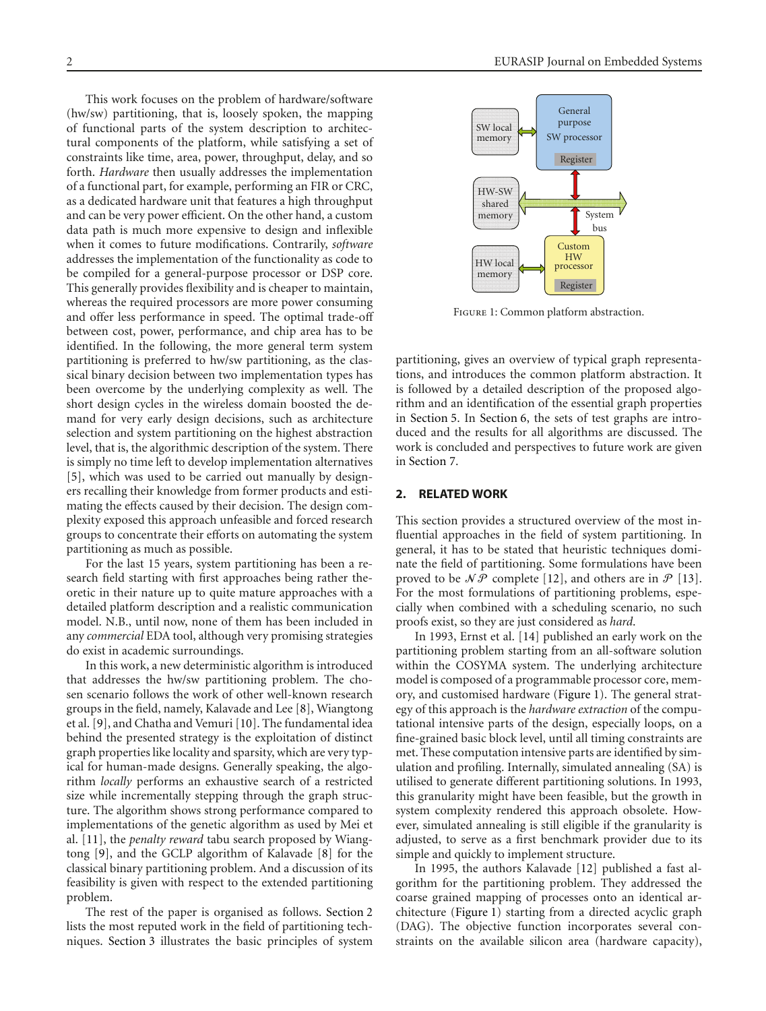This work focuses on the problem of hardware/software (hw/sw) partitioning, that is, loosely spoken, the mapping of functional parts of the system description to architectural components of the platform, while satisfying a set of constraints like time, area, power, throughput, delay, and so forth. *Hardware* then usually addresses the implementation of a functional part, for example, performing an FIR or CRC, as a dedicated hardware unit that features a high throughput and can be very power efficient. On the other hand, a custom data path is much more expensive to design and inflexible when it comes to future modifications. Contrarily, *software* addresses the implementation of the functionality as code to be compiled for a general-purpose processor or DSP core. This generally provides flexibility and is cheaper to maintain, whereas the required processors are more power consuming and offer less performance in speed. The optimal trade-off between cost, power, performance, and chip area has to be identified. In the following, the more general term system partitioning is preferred to hw/sw partitioning, as the classical binary decision between two implementation types has been overcome by the underlying complexity as well. The short design cycles in the wireless domain boosted the demand for very early design decisions, such as architecture selection and system partitioning on the highest abstraction level, that is, the algorithmic description of the system. There

is simply no time left to develop implementation alternatives [5], which was used to be carried out manually by designers recalling their knowledge from former products and estimating the effects caused by their decision. The design complexity exposed this approach unfeasible and forced research groups to concentrate their efforts on automating the system partitioning as much as possible.

For the last 15 years, system partitioning has been a research field starting with first approaches being rather theoretic in their nature up to quite mature approaches with a detailed platform description and a realistic communication model. N.B., until now, none of them has been included in any *commercial* EDA tool, although very promising strategies do exist in academic surroundings.

In this work, a new deterministic algorithm is introduced that addresses the hw/sw partitioning problem. The chosen scenario follows the work of other well-known research groups in the field, namely, Kalavade and Lee [8], Wiangtong et al. [9], and Chatha and Vemuri [10]. The fundamental idea behind the presented strategy is the exploitation of distinct graph properties like locality and sparsity, which are very typical for human-made designs. Generally speaking, the algorithm *locally* performs an exhaustive search of a restricted size while incrementally stepping through the graph structure. The algorithm shows strong performance compared to implementations of the genetic algorithm as used by Mei et al. [11], the *penalty reward* tabu search proposed by Wiangtong [9], and the GCLP algorithm of Kalavade [8] for the classical binary partitioning problem. And a discussion of its feasibility is given with respect to the extended partitioning problem.

The rest of the paper is organised as follows. Section 2 lists the most reputed work in the field of partitioning techniques. Section 3 illustrates the basic principles of system



Figure 1: Common platform abstraction.

partitioning, gives an overview of typical graph representations, and introduces the common platform abstraction. It is followed by a detailed description of the proposed algorithm and an identification of the essential graph properties in Section 5. In Section 6, the sets of test graphs are introduced and the results for all algorithms are discussed. The work is concluded and perspectives to future work are given in Section 7.

#### **2. RELATED WORK**

This section provides a structured overview of the most influential approaches in the field of system partitioning. In general, it has to be stated that heuristic techniques dominate the field of partitioning. Some formulations have been proved to be  $\mathcal{NP}$  complete [12], and others are in  $\mathcal{P}$  [13]. For the most formulations of partitioning problems, especially when combined with a scheduling scenario, no such proofs exist, so they are just considered as *hard*.

In 1993, Ernst et al. [14] published an early work on the partitioning problem starting from an all-software solution within the COSYMA system. The underlying architecture model is composed of a programmable processor core, memory, and customised hardware (Figure 1). The general strategy of this approach is the *hardware extraction* of the computational intensive parts of the design, especially loops, on a fine-grained basic block level, until all timing constraints are met. These computation intensive parts are identified by simulation and profiling. Internally, simulated annealing (SA) is utilised to generate different partitioning solutions. In 1993, this granularity might have been feasible, but the growth in system complexity rendered this approach obsolete. However, simulated annealing is still eligible if the granularity is adjusted, to serve as a first benchmark provider due to its simple and quickly to implement structure.

In 1995, the authors Kalavade [12] published a fast algorithm for the partitioning problem. They addressed the coarse grained mapping of processes onto an identical architecture (Figure 1) starting from a directed acyclic graph (DAG). The objective function incorporates several constraints on the available silicon area (hardware capacity),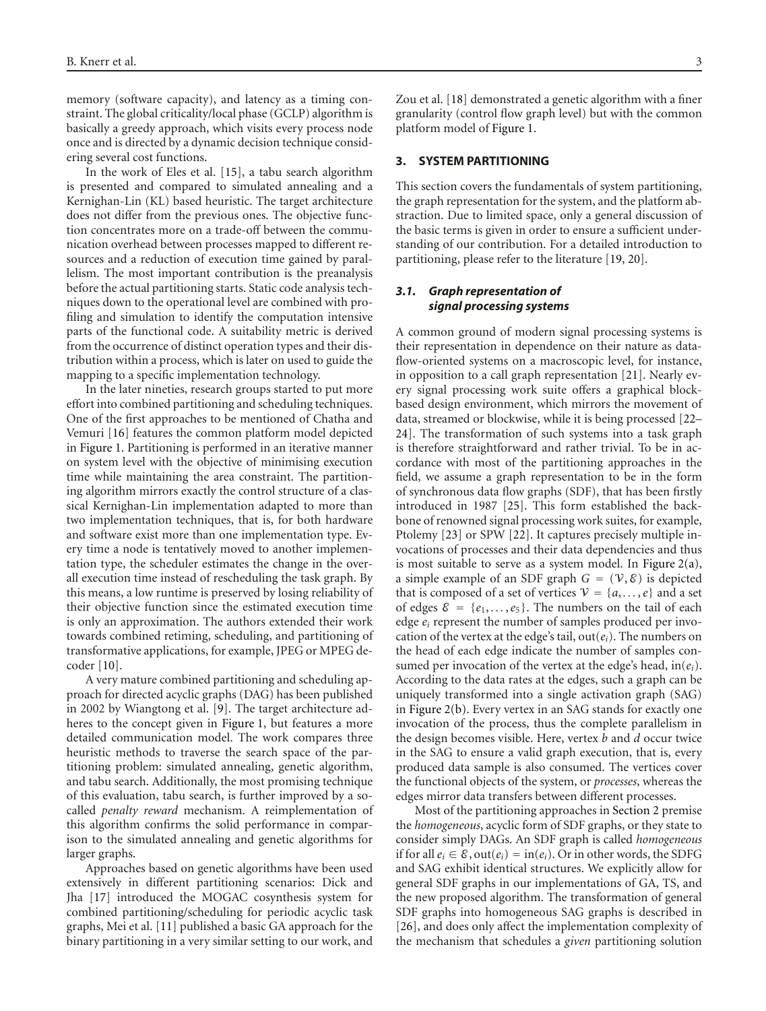memory (software capacity), and latency as a timing constraint. The global criticality/local phase (GCLP) algorithm is basically a greedy approach, which visits every process node once and is directed by a dynamic decision technique considering several cost functions.

In the work of Eles et al. [15], a tabu search algorithm is presented and compared to simulated annealing and a Kernighan-Lin (KL) based heuristic. The target architecture does not differ from the previous ones. The objective function concentrates more on a trade-off between the communication overhead between processes mapped to different resources and a reduction of execution time gained by parallelism. The most important contribution is the preanalysis before the actual partitioning starts. Static code analysis techniques down to the operational level are combined with profiling and simulation to identify the computation intensive parts of the functional code. A suitability metric is derived from the occurrence of distinct operation types and their distribution within a process, which is later on used to guide the mapping to a specific implementation technology.

In the later nineties, research groups started to put more effort into combined partitioning and scheduling techniques. One of the first approaches to be mentioned of Chatha and Vemuri [16] features the common platform model depicted in Figure 1. Partitioning is performed in an iterative manner on system level with the objective of minimising execution time while maintaining the area constraint. The partitioning algorithm mirrors exactly the control structure of a classical Kernighan-Lin implementation adapted to more than two implementation techniques, that is, for both hardware and software exist more than one implementation type. Every time a node is tentatively moved to another implementation type, the scheduler estimates the change in the overall execution time instead of rescheduling the task graph. By this means, a low runtime is preserved by losing reliability of their objective function since the estimated execution time is only an approximation. The authors extended their work towards combined retiming, scheduling, and partitioning of transformative applications, for example, JPEG or MPEG decoder [10].

A very mature combined partitioning and scheduling approach for directed acyclic graphs (DAG) has been published in 2002 by Wiangtong et al. [9]. The target architecture adheres to the concept given in Figure 1, but features a more detailed communication model. The work compares three heuristic methods to traverse the search space of the partitioning problem: simulated annealing, genetic algorithm, and tabu search. Additionally, the most promising technique of this evaluation, tabu search, is further improved by a socalled *penalty reward* mechanism. A reimplementation of this algorithm confirms the solid performance in comparison to the simulated annealing and genetic algorithms for larger graphs.

Approaches based on genetic algorithms have been used extensively in different partitioning scenarios: Dick and Jha [17] introduced the MOGAC cosynthesis system for combined partitioning/scheduling for periodic acyclic task graphs, Mei et al. [11] published a basic GA approach for the binary partitioning in a very similar setting to our work, and Zou et al. [18] demonstrated a genetic algorithm with a finer granularity (control flow graph level) but with the common platform model of Figure 1.

#### **3. SYSTEM PARTITIONING**

This section covers the fundamentals of system partitioning, the graph representation for the system, and the platform abstraction. Due to limited space, only a general discussion of the basic terms is given in order to ensure a sufficient understanding of our contribution. For a detailed introduction to partitioning, please refer to the literature [19, 20].

#### *3.1. Graph representation of signal processing systems*

A common ground of modern signal processing systems is their representation in dependence on their nature as dataflow-oriented systems on a macroscopic level, for instance, in opposition to a call graph representation [21]. Nearly every signal processing work suite offers a graphical blockbased design environment, which mirrors the movement of data, streamed or blockwise, while it is being processed [22– 24]. The transformation of such systems into a task graph is therefore straightforward and rather trivial. To be in accordance with most of the partitioning approaches in the field, we assume a graph representation to be in the form of synchronous data flow graphs (SDF), that has been firstly introduced in 1987 [25]. This form established the backbone of renowned signal processing work suites, for example, Ptolemy [23] or SPW [22]. It captures precisely multiple invocations of processes and their data dependencies and thus is most suitable to serve as a system model. In Figure 2(a), a simple example of an SDF graph  $G = (\mathcal{V}, \mathcal{E})$  is depicted that is composed of a set of vertices  $V = \{a, \ldots, e\}$  and a set of edges  $\mathcal{E} = \{e_1, \ldots, e_5\}$ . The numbers on the tail of each edge *ei* represent the number of samples produced per invocation of the vertex at the edge's tail,  $out(e_i)$ . The numbers on the head of each edge indicate the number of samples consumed per invocation of the vertex at the edge's head, in(*ei*). According to the data rates at the edges, such a graph can be uniquely transformed into a single activation graph (SAG) in Figure 2(b). Every vertex in an SAG stands for exactly one invocation of the process, thus the complete parallelism in the design becomes visible. Here, vertex *b* and *d* occur twice in the SAG to ensure a valid graph execution, that is, every produced data sample is also consumed. The vertices cover the functional objects of the system, or *processes*, whereas the edges mirror data transfers between different processes.

Most of the partitioning approaches in Section 2 premise the *homogeneous*, acyclic form of SDF graphs, or they state to consider simply DAGs. An SDF graph is called *homogeneous* if for all  $e_i \in \mathcal{E}$ , out $(e_i) = \text{in}(e_i)$ . Or in other words, the SDFG and SAG exhibit identical structures. We explicitly allow for general SDF graphs in our implementations of GA, TS, and the new proposed algorithm. The transformation of general SDF graphs into homogeneous SAG graphs is described in [26], and does only affect the implementation complexity of the mechanism that schedules a *given* partitioning solution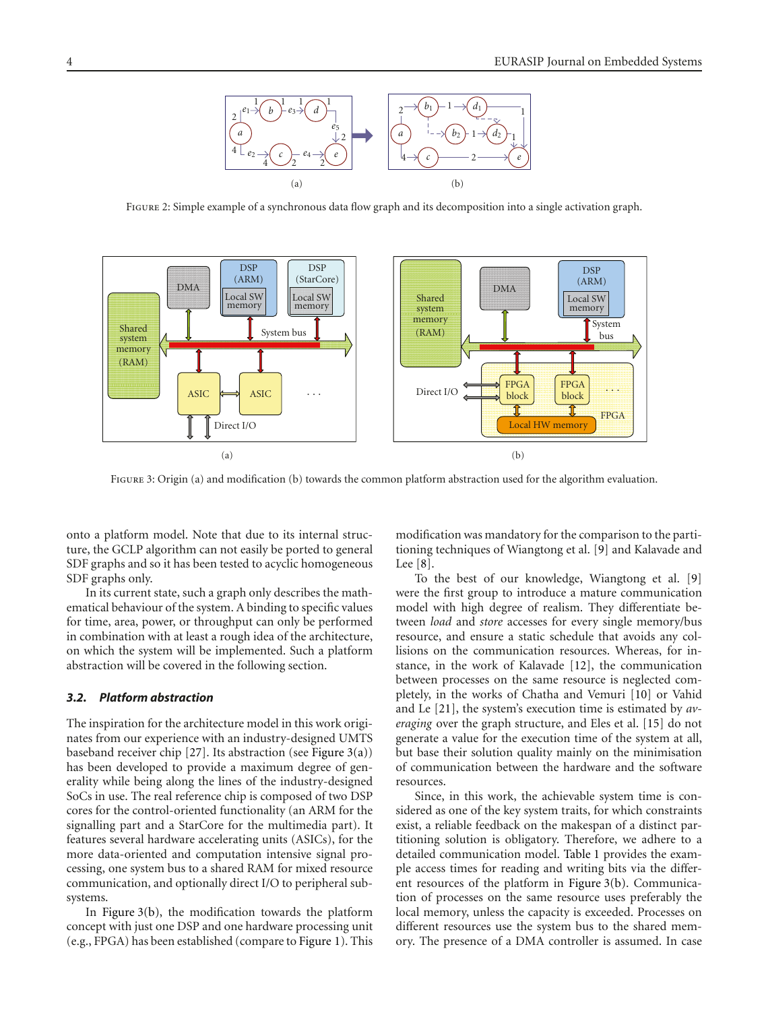

Figure 2: Simple example of a synchronous data flow graph and its decomposition into a single activation graph.



FIGURE 3: Origin (a) and modification (b) towards the common platform abstraction used for the algorithm evaluation.

onto a platform model. Note that due to its internal structure, the GCLP algorithm can not easily be ported to general SDF graphs and so it has been tested to acyclic homogeneous SDF graphs only.

In its current state, such a graph only describes the mathematical behaviour of the system. A binding to specific values for time, area, power, or throughput can only be performed in combination with at least a rough idea of the architecture, on which the system will be implemented. Such a platform abstraction will be covered in the following section.

#### *3.2. Platform abstraction*

The inspiration for the architecture model in this work originates from our experience with an industry-designed UMTS baseband receiver chip [27]. Its abstraction (see Figure 3(a)) has been developed to provide a maximum degree of generality while being along the lines of the industry-designed SoCs in use. The real reference chip is composed of two DSP cores for the control-oriented functionality (an ARM for the signalling part and a StarCore for the multimedia part). It features several hardware accelerating units (ASICs), for the more data-oriented and computation intensive signal processing, one system bus to a shared RAM for mixed resource communication, and optionally direct I/O to peripheral subsystems.

In Figure 3(b), the modification towards the platform concept with just one DSP and one hardware processing unit (e.g., FPGA) has been established (compare to Figure 1). This modification was mandatory for the comparison to the partitioning techniques of Wiangtong et al. [9] and Kalavade and Lee [8].

To the best of our knowledge, Wiangtong et al. [9] were the first group to introduce a mature communication model with high degree of realism. They differentiate between *load* and *store* accesses for every single memory/bus resource, and ensure a static schedule that avoids any collisions on the communication resources. Whereas, for instance, in the work of Kalavade [12], the communication between processes on the same resource is neglected completely, in the works of Chatha and Vemuri [10] or Vahid and Le [21], the system's execution time is estimated by *averaging* over the graph structure, and Eles et al. [15] do not generate a value for the execution time of the system at all, but base their solution quality mainly on the minimisation of communication between the hardware and the software resources.

Since, in this work, the achievable system time is considered as one of the key system traits, for which constraints exist, a reliable feedback on the makespan of a distinct partitioning solution is obligatory. Therefore, we adhere to a detailed communication model. Table 1 provides the example access times for reading and writing bits via the different resources of the platform in Figure 3(b). Communication of processes on the same resource uses preferably the local memory, unless the capacity is exceeded. Processes on different resources use the system bus to the shared memory. The presence of a DMA controller is assumed. In case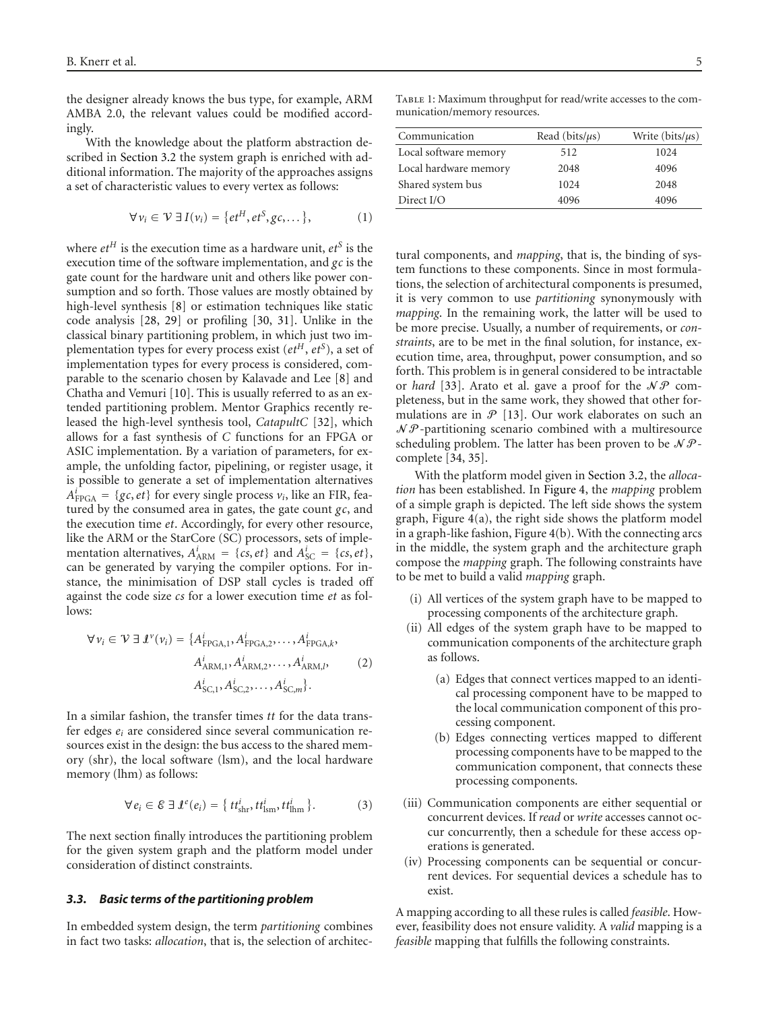the designer already knows the bus type, for example, ARM AMBA 2.0, the relevant values could be modified accordingly.

With the knowledge about the platform abstraction described in Section 3.2 the system graph is enriched with additional information. The majority of the approaches assigns a set of characteristic values to every vertex as follows:

$$
\forall v_i \in \mathcal{V} \ \exists \ I(v_i) = \{ et^H, et^S, gc, \dots \},\tag{1}
$$

where  $e^{tH}$  is the execution time as a hardware unit,  $e^{tS}$  is the execution time of the software implementation, and *gc* is the gate count for the hardware unit and others like power consumption and so forth. Those values are mostly obtained by high-level synthesis [8] or estimation techniques like static code analysis [28, 29] or profiling [30, 31]. Unlike in the classical binary partitioning problem, in which just two implementation types for every process exist (*etH*, *etS*), a set of implementation types for every process is considered, comparable to the scenario chosen by Kalavade and Lee [8] and Chatha and Vemuri [10]. This is usually referred to as an extended partitioning problem. Mentor Graphics recently released the high-level synthesis tool, *CatapultC* [32], which allows for a fast synthesis of *C* functions for an FPGA or ASIC implementation. By a variation of parameters, for example, the unfolding factor, pipelining, or register usage, it is possible to generate a set of implementation alternatives  $A_{\text{FPGA}}^i = \{gc, et\}$  for every single process  $v_i$ , like an FIR, featured by the consumed area in gates, the gate count *gc*, and the execution time *et*. Accordingly, for every other resource, like the ARM or the StarCore (SC) processors, sets of implementation alternatives,  $A_{ARM}^i = \{cs, et\}$  and  $A_{SC}^i = \{cs, et\}$ , can be generated by varying the compiler options. For instance, the minimisation of DSP stall cycles is traded off against the code size *cs* for a lower execution time *et* as follows:

$$
\forall v_i \in \mathcal{V} \exists \mathcal{L}^{\nu}(v_i) = \{A_{\text{FPGA},1}^{i}, A_{\text{FPGA},2}^{i}, \dots, A_{\text{FPGA},k}^{i}, A_{\text{ARM},1}^{i}, A_{\text{ARM},2}^{i}, \dots, A_{\text{ARM},l}^{i},
$$
\n
$$
A_{\text{SC},1}^{i}, A_{\text{SC},2}^{i}, \dots, A_{\text{SC},m}^{i} \}.
$$
\n(2)

In a similar fashion, the transfer times *tt* for the data transfer edges *ei* are considered since several communication resources exist in the design: the bus access to the shared memory (shr), the local software (lsm), and the local hardware memory (lhm) as follows:

$$
\forall e_i \in \mathcal{E} \exists \mathcal{L}^e(e_i) = \{ t t_{\text{shr}}^i, t t_{\text{lam}}^i, t t_{\text{lam}}^i \}.
$$
 (3)

The next section finally introduces the partitioning problem for the given system graph and the platform model under consideration of distinct constraints.

#### *3.3. Basic terms of the partitioning problem*

In embedded system design, the term *partitioning* combines in fact two tasks: *allocation*, that is, the selection of architec-

TABLE 1: Maximum throughput for read/write accesses to the communication/memory resources.

| Communication         | Read (bits/ $\mu$ s) | Write $(bits/\mu s)$ |
|-----------------------|----------------------|----------------------|
| Local software memory | 512                  | 1024                 |
| Local hardware memory | 2048                 | 4096                 |
| Shared system bus     | 1024                 | 2048                 |
| Direct I/O            | 4096                 | 4096                 |

tural components, and *mapping*, that is, the binding of system functions to these components. Since in most formulations, the selection of architectural components is presumed, it is very common to use *partitioning* synonymously with *mapping*. In the remaining work, the latter will be used to be more precise. Usually, a number of requirements, or *constraints*, are to be met in the final solution, for instance, execution time, area, throughput, power consumption, and so forth. This problem is in general considered to be intractable or *hard* [33]. Arato et al. gave a proof for the NP completeness, but in the same work, they showed that other formulations are in  $\mathcal{P}$  [13]. Our work elaborates on such an  $\mathcal{NP}$ -partitioning scenario combined with a multiresource scheduling problem. The latter has been proven to be  $\mathcal{NP}$ complete [34, 35].

With the platform model given in Section 3.2, the *allocation* has been established. In Figure 4, the *mapping* problem of a simple graph is depicted. The left side shows the system graph, Figure 4(a), the right side shows the platform model in a graph-like fashion, Figure 4(b). With the connecting arcs in the middle, the system graph and the architecture graph compose the *mapping* graph. The following constraints have to be met to build a valid *mapping* graph.

- (i) All vertices of the system graph have to be mapped to processing components of the architecture graph.
- (ii) All edges of the system graph have to be mapped to communication components of the architecture graph as follows.
	- (a) Edges that connect vertices mapped to an identical processing component have to be mapped to the local communication component of this processing component.
	- (b) Edges connecting vertices mapped to different processing components have to be mapped to the communication component, that connects these processing components.
- (iii) Communication components are either sequential or concurrent devices. If *read* or *write* accesses cannot occur concurrently, then a schedule for these access operations is generated.
- (iv) Processing components can be sequential or concurrent devices. For sequential devices a schedule has to exist.

A mapping according to all these rules is called *feasible*. However, feasibility does not ensure validity. A *valid* mapping is a *feasible* mapping that fulfills the following constraints.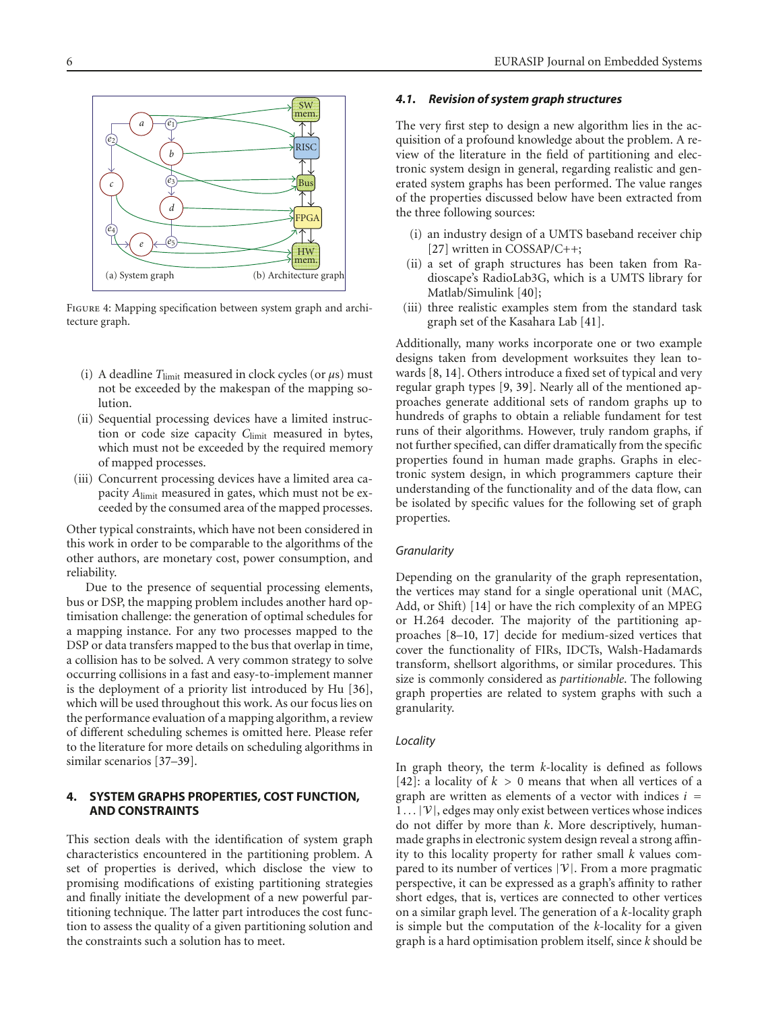

Figure 4: Mapping specification between system graph and architecture graph.

- (i) A deadline *T*limit measured in clock cycles (or *μ*s) must not be exceeded by the makespan of the mapping solution.
- (ii) Sequential processing devices have a limited instruction or code size capacity *C*limit measured in bytes, which must not be exceeded by the required memory of mapped processes.
- (iii) Concurrent processing devices have a limited area capacity *A*limit measured in gates, which must not be exceeded by the consumed area of the mapped processes.

Other typical constraints, which have not been considered in this work in order to be comparable to the algorithms of the other authors, are monetary cost, power consumption, and reliability.

Due to the presence of sequential processing elements, bus or DSP, the mapping problem includes another hard optimisation challenge: the generation of optimal schedules for a mapping instance. For any two processes mapped to the DSP or data transfers mapped to the bus that overlap in time, a collision has to be solved. A very common strategy to solve occurring collisions in a fast and easy-to-implement manner is the deployment of a priority list introduced by Hu [36], which will be used throughout this work. As our focus lies on the performance evaluation of a mapping algorithm, a review of different scheduling schemes is omitted here. Please refer to the literature for more details on scheduling algorithms in similar scenarios [37–39].

## **4. SYSTEM GRAPHS PROPERTIES, COST FUNCTION, AND CONSTRAINTS**

This section deals with the identification of system graph characteristics encountered in the partitioning problem. A set of properties is derived, which disclose the view to promising modifications of existing partitioning strategies and finally initiate the development of a new powerful partitioning technique. The latter part introduces the cost function to assess the quality of a given partitioning solution and the constraints such a solution has to meet.

## *4.1. Revision of system graph structures*

The very first step to design a new algorithm lies in the acquisition of a profound knowledge about the problem. A review of the literature in the field of partitioning and electronic system design in general, regarding realistic and generated system graphs has been performed. The value ranges of the properties discussed below have been extracted from the three following sources:

- (i) an industry design of a UMTS baseband receiver chip [27] written in COSSAP/C++;
- (ii) a set of graph structures has been taken from Radioscape's RadioLab3G, which is a UMTS library for Matlab/Simulink [40];
- (iii) three realistic examples stem from the standard task graph set of the Kasahara Lab [41].

Additionally, many works incorporate one or two example designs taken from development worksuites they lean towards [8, 14]. Others introduce a fixed set of typical and very regular graph types [9, 39]. Nearly all of the mentioned approaches generate additional sets of random graphs up to hundreds of graphs to obtain a reliable fundament for test runs of their algorithms. However, truly random graphs, if not further specified, can differ dramatically from the specific properties found in human made graphs. Graphs in electronic system design, in which programmers capture their understanding of the functionality and of the data flow, can be isolated by specific values for the following set of graph properties.

#### *Granularity*

Depending on the granularity of the graph representation, the vertices may stand for a single operational unit (MAC, Add, or Shift) [14] or have the rich complexity of an MPEG or H.264 decoder. The majority of the partitioning approaches [8–10, 17] decide for medium-sized vertices that cover the functionality of FIRs, IDCTs, Walsh-Hadamards transform, shellsort algorithms, or similar procedures. This size is commonly considered as *partitionable*. The following graph properties are related to system graphs with such a granularity.

#### *Locality*

In graph theory, the term *k*-locality is defined as follows [42]: a locality of  $k > 0$  means that when all vertices of a graph are written as elements of a vector with indices  $i =$  $1 \ldots |V|$ , edges may only exist between vertices whose indices do not differ by more than *k*. More descriptively, humanmade graphs in electronic system design reveal a strong affinity to this locality property for rather small *k* values compared to its number of vertices  $|\mathcal{V}|$ . From a more pragmatic perspective, it can be expressed as a graph's affinity to rather short edges, that is, vertices are connected to other vertices on a similar graph level. The generation of a *k*-locality graph is simple but the computation of the *k*-locality for a given graph is a hard optimisation problem itself, since *k* should be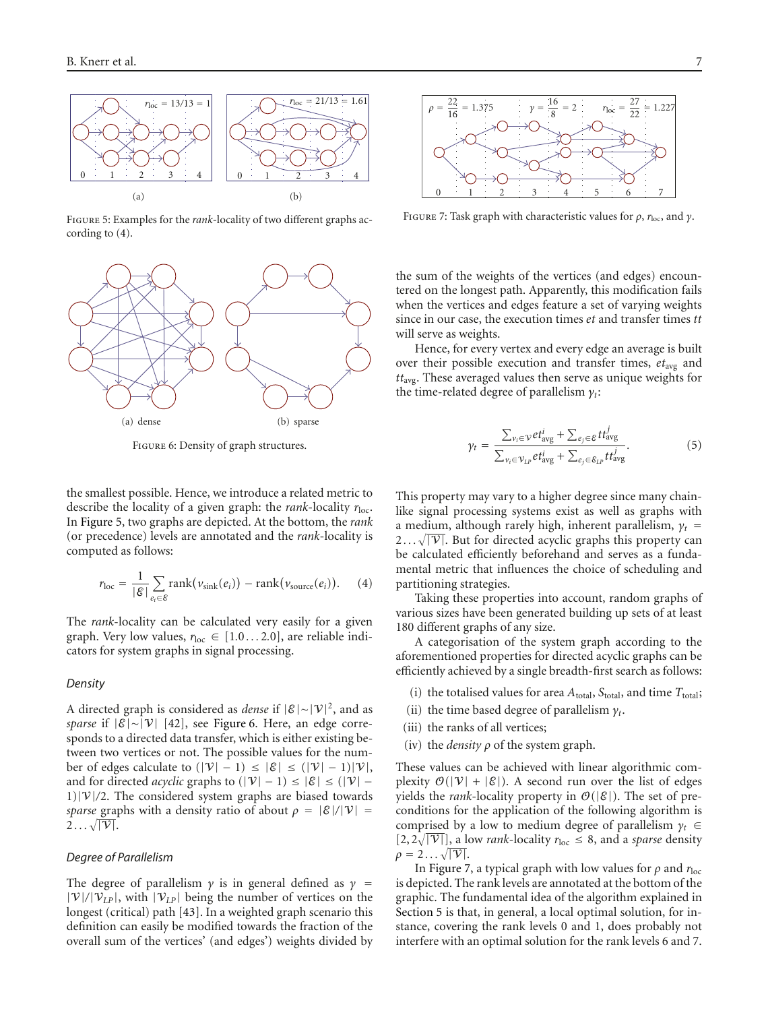

Figure 5: Examples for the *rank*-locality of two different graphs according to (4).



FIGURE 6: Density of graph structures.

the smallest possible. Hence, we introduce a related metric to describe the locality of a given graph: the *rank*-locality  $r_{\text{loc}}$ . In Figure 5, two graphs are depicted. At the bottom, the *rank* (or precedence) levels are annotated and the *rank*-locality is computed as follows:

$$
\eta_{\rm oc} = \frac{1}{|\mathcal{E}|} \sum_{e_i \in \mathcal{E}} \text{rank}(\nu_{\rm sink}(e_i)) - \text{rank}(\nu_{\rm source}(e_i)). \tag{4}
$$

The *rank*-locality can be calculated very easily for a given graph. Very low values,  $r_{\text{loc}} \in [1.0 \dots 2.0]$ , are reliable indicators for system graphs in signal processing.

#### *Density*

A directed graph is considered as *dense* if <sup>|</sup>E|∼|V|2, and as *sparse* if  $|\mathcal{E}| \sim |\mathcal{V}|$  [42], see Figure 6. Here, an edge corresponds to a directed data transfer, which is either existing between two vertices or not. The possible values for the number of edges calculate to  $(|V| - 1) \leq |E| \leq (|V| - 1)|V|$ , and for directed *acyclic* graphs to  $(|V| - 1) \leq |\mathcal{E}| \leq (|\mathcal{V}| - 1)$  $1)|\mathcal{V}|/2$ . The considered system graphs are biased towards *sparse* graphs with a density ratio of about  $\rho = |\mathcal{E}|/|\mathcal{V}| =$  $2 \ldots \sqrt{|\mathcal{V}|}.$ 

#### *Degree of Parallelism*

The degree of parallelism  $\gamma$  is in general defined as  $\gamma$  =  $|\mathcal{V}|/|\mathcal{V}_{LP}|$ , with  $|\mathcal{V}_{LP}|$  being the number of vertices on the longest (critical) path [43]. In a weighted graph scenario this definition can easily be modified towards the fraction of the overall sum of the vertices' (and edges') weights divided by



Figure 7: Task graph with characteristic values for *ρ*, *r*loc, and *γ*.

the sum of the weights of the vertices (and edges) encountered on the longest path. Apparently, this modification fails when the vertices and edges feature a set of varying weights since in our case, the execution times *et* and transfer times *tt* will serve as weights.

Hence, for every vertex and every edge an average is built over their possible execution and transfer times,  $et_{avg}$  and *tt*avg. These averaged values then serve as unique weights for the time-related degree of parallelism *γ<sub>t</sub>*:

$$
\gamma_t = \frac{\sum_{v_i \in \mathcal{V}} \mathcal{et}_{avg}^i + \sum_{e_j \in \mathcal{E}} \mathcal{t}_{avg}^j}{\sum_{v_i \in \mathcal{V}_{LP}} \mathcal{et}_{avg}^i + \sum_{e_j \in \mathcal{E}_{LP}} \mathcal{t}_{avg}^j}.
$$
(5)

This property may vary to a higher degree since many chainlike signal processing systems exist as well as graphs with a medium, although rarely high, inherent parallelism,  $y_t$  =  $2...\sqrt{|\mathcal{V}|}$ . But for directed acyclic graphs this property can be calculated efficiently beforehand and serves as a fundamental metric that influences the choice of scheduling and partitioning strategies.

Taking these properties into account, random graphs of various sizes have been generated building up sets of at least 180 different graphs of any size.

A categorisation of the system graph according to the aforementioned properties for directed acyclic graphs can be efficiently achieved by a single breadth-first search as follows:

- (i) the totalised values for area  $A_{total}$ ,  $S_{total}$ , and time  $T_{total}$ ;
- (ii) the time based degree of parallelism *γt*.
- (iii) the ranks of all vertices;
- (iv) the *density ρ* of the system graph.

These values can be achieved with linear algorithmic complexity  $\mathcal{O}(|\mathcal{V}| + |\mathcal{E}|)$ . A second run over the list of edges yields the *rank*-locality property in  $\mathcal{O}(|\mathcal{E}|)$ . The set of preconditions for the application of the following algorithm is comprised by a low to medium degree of parallelism *γt* ∈  $[2, 2\sqrt{|\mathcal{V}|}]$ , a low *rank*-locality  $r_{\text{loc}} \leq 8$ , and a *sparse* density  $\rho = 2 \dots \sqrt{|\mathcal{V}|}.$ 

In Figure 7, a typical graph with low values for *ρ* and *r*loc is depicted. The rank levels are annotated at the bottom of the graphic. The fundamental idea of the algorithm explained in Section 5 is that, in general, a local optimal solution, for instance, covering the rank levels 0 and 1, does probably not interfere with an optimal solution for the rank levels 6 and 7.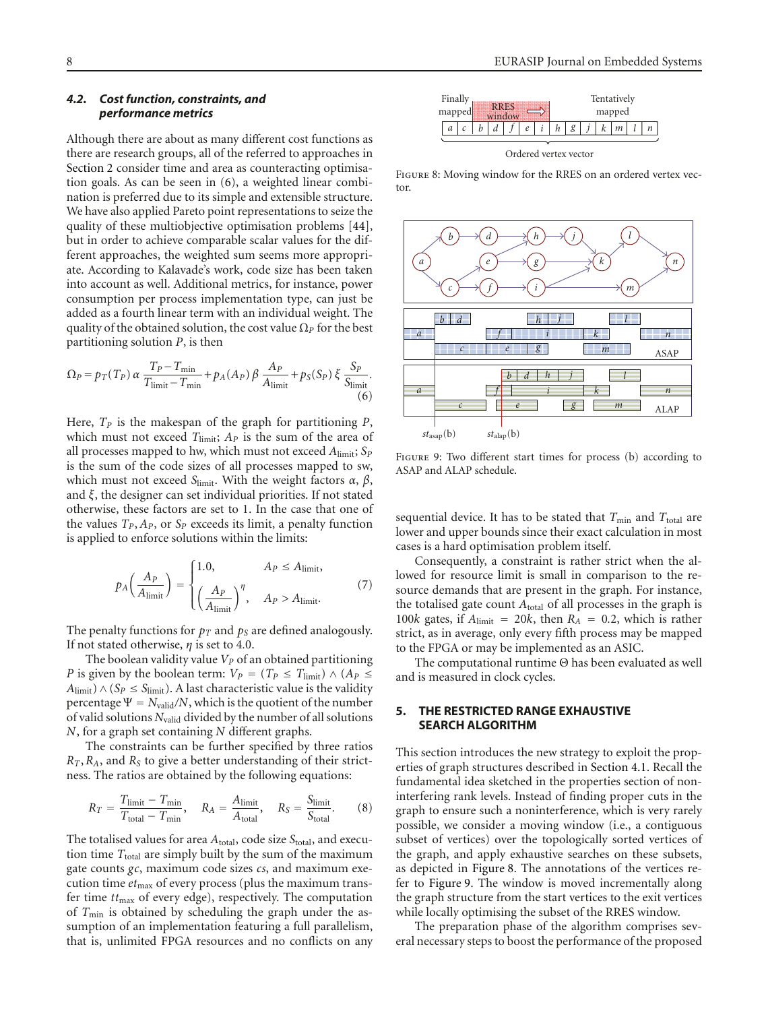### *4.2. Cost function, constraints, and performance metrics*

Although there are about as many different cost functions as there are research groups, all of the referred to approaches in Section 2 consider time and area as counteracting optimisation goals. As can be seen in (6), a weighted linear combination is preferred due to its simple and extensible structure. We have also applied Pareto point representations to seize the quality of these multiobjective optimisation problems [44], but in order to achieve comparable scalar values for the different approaches, the weighted sum seems more appropriate. According to Kalavade's work, code size has been taken into account as well. Additional metrics, for instance, power consumption per process implementation type, can just be added as a fourth linear term with an individual weight. The quality of the obtained solution, the cost value  $\Omega_p$  for the best partitioning solution *P*, is then

$$
\Omega_P = p_T(T_P) \alpha \frac{T_P - T_{\min}}{T_{\text{limit}} - T_{\min}} + p_A(A_P) \beta \frac{A_P}{A_{\text{limit}}} + p_S(S_P) \xi \frac{S_P}{S_{\text{limit}}}.
$$
\n(6)

Here, *TP* is the makespan of the graph for partitioning *P*, which must not exceed *T*limit; *Ap* is the sum of the area of all processes mapped to hw, which must not exceed *A*limit; *SP* is the sum of the code sizes of all processes mapped to sw, which must not exceed *S*limit. With the weight factors *α*, *β*, and *ξ*, the designer can set individual priorities. If not stated otherwise, these factors are set to 1. In the case that one of the values  $T_p$ ,  $A_p$ , or  $S_p$  exceeds its limit, a penalty function is applied to enforce solutions within the limits:

$$
p_A\left(\frac{A_P}{A_{\text{limit}}}\right) = \begin{cases} 1.0, & A_P \le A_{\text{limit}}, \\ \left(\frac{A_P}{A_{\text{limit}}}\right)^{\eta}, & A_P > A_{\text{limit}}. \end{cases} \tag{7}
$$

The penalty functions for  $p_T$  and  $p_S$  are defined analogously. If not stated otherwise, *η* is set to 4*.*0.

The boolean validity value *V<sub>P</sub>* of an obtained partitioning *P* is given by the boolean term:  $V_P = (T_P \leq T_{\text{limit}}) \wedge (A_P \leq T_{\text{limit}})$  $A$ <sub>limit</sub>) ∧ ( $S_P \le S$ <sub>limit</sub>). A last characteristic value is the validity percentage  $\Psi = N_{valid}/N$ , which is the quotient of the number of valid solutions *N*valid divided by the number of all solutions *N*, for a graph set containing *N* different graphs.

The constraints can be further specified by three ratios  $R_T$ ,  $R_A$ , and  $R_S$  to give a better understanding of their strictness. The ratios are obtained by the following equations:

$$
R_T = \frac{T_{\text{limit}} - T_{\text{min}}}{T_{\text{total}} - T_{\text{min}}}, \quad R_A = \frac{A_{\text{limit}}}{A_{\text{total}}}, \quad R_S = \frac{S_{\text{limit}}}{S_{\text{total}}}.
$$
 (8)

The totalised values for area A<sub>total</sub>, code size S<sub>total</sub>, and execution time *T*<sub>total</sub> are simply built by the sum of the maximum gate counts *gc*, maximum code sizes *cs*, and maximum execution time *et*<sub>max</sub> of every process (plus the maximum transfer time *tt*max of every edge), respectively. The computation of *T*min is obtained by scheduling the graph under the assumption of an implementation featuring a full parallelism, that is, unlimited FPGA resources and no conflicts on any



Ordered vertex vector

FIGURE 8: Moving window for the RRES on an ordered vertex vector.



FIGURE 9: Two different start times for process (b) according to ASAP and ALAP schedule.

sequential device. It has to be stated that  $T_{\text{min}}$  and  $T_{\text{total}}$  are lower and upper bounds since their exact calculation in most cases is a hard optimisation problem itself.

Consequently, a constraint is rather strict when the allowed for resource limit is small in comparison to the resource demands that are present in the graph. For instance, the totalised gate count  $A_{total}$  of all processes in the graph is 100*k* gates, if  $A_{\text{limit}} = 20k$ , then  $R_A = 0.2$ , which is rather strict, as in average, only every fifth process may be mapped to the FPGA or may be implemented as an ASIC.

The computational runtime Θ has been evaluated as well and is measured in clock cycles.

## **5. THE RESTRICTED RANGE EXHAUSTIVE SEARCH ALGORITHM**

This section introduces the new strategy to exploit the properties of graph structures described in Section 4.1. Recall the fundamental idea sketched in the properties section of noninterfering rank levels. Instead of finding proper cuts in the graph to ensure such a noninterference, which is very rarely possible, we consider a moving window (i.e., a contiguous subset of vertices) over the topologically sorted vertices of the graph, and apply exhaustive searches on these subsets, as depicted in Figure 8. The annotations of the vertices refer to Figure 9. The window is moved incrementally along the graph structure from the start vertices to the exit vertices while locally optimising the subset of the RRES window.

The preparation phase of the algorithm comprises several necessary steps to boost the performance of the proposed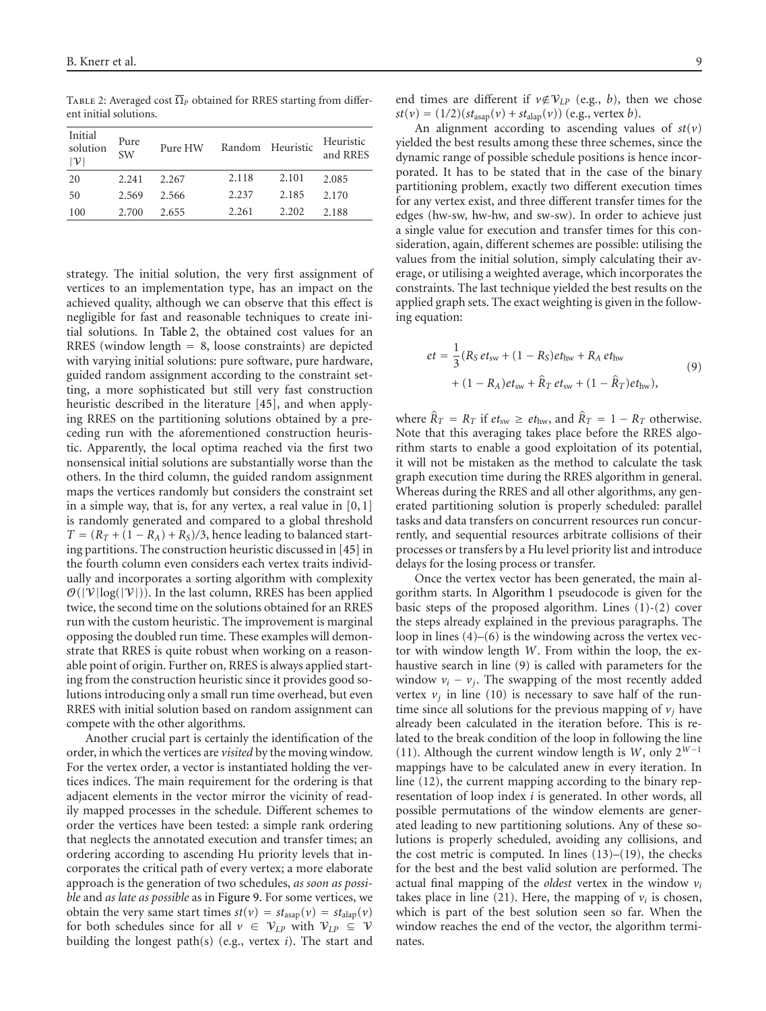| Initial<br>solution<br>$ \mathcal{V} $ | Pure<br><b>SW</b> | Pure HW |       | Random Heuristic | Heuristic<br>and RRES |  |
|----------------------------------------|-------------------|---------|-------|------------------|-----------------------|--|
| 20                                     | 2.241             | 2.267   | 2.118 | 2.101            | 2.085                 |  |
| 50                                     | 2.569             | 2.566   | 2.237 | 2.185            | 2.170                 |  |
| 100                                    | 2.700             | 2.655   | 2.261 | 2.202            | 2.188                 |  |

TABLE 2: Averaged cost  $\overline{\Omega}_P$  obtained for RRES starting from different initial solutions.

strategy. The initial solution, the very first assignment of vertices to an implementation type, has an impact on the achieved quality, although we can observe that this effect is negligible for fast and reasonable techniques to create initial solutions. In Table 2, the obtained cost values for an RRES (window length  $= 8$ , loose constraints) are depicted with varying initial solutions: pure software, pure hardware, guided random assignment according to the constraint setting, a more sophisticated but still very fast construction heuristic described in the literature [45], and when applying RRES on the partitioning solutions obtained by a preceding run with the aforementioned construction heuristic. Apparently, the local optima reached via the first two nonsensical initial solutions are substantially worse than the others. In the third column, the guided random assignment maps the vertices randomly but considers the constraint set in a simple way, that is, for any vertex, a real value in [0, 1] is randomly generated and compared to a global threshold  $T = (R_T + (1 - R_A) + R_S)/3$ , hence leading to balanced starting partitions. The construction heuristic discussed in [45] in the fourth column even considers each vertex traits individually and incorporates a sorting algorithm with complexity  $\mathcal{O}(|\mathcal{V}| \log(|\mathcal{V}|))$ . In the last column, RRES has been applied twice, the second time on the solutions obtained for an RRES run with the custom heuristic. The improvement is marginal opposing the doubled run time. These examples will demonstrate that RRES is quite robust when working on a reasonable point of origin. Further on, RRES is always applied starting from the construction heuristic since it provides good solutions introducing only a small run time overhead, but even RRES with initial solution based on random assignment can compete with the other algorithms.

Another crucial part is certainly the identification of the order, in which the vertices are *visited* by the moving window. For the vertex order, a vector is instantiated holding the vertices indices. The main requirement for the ordering is that adjacent elements in the vector mirror the vicinity of readily mapped processes in the schedule. Different schemes to order the vertices have been tested: a simple rank ordering that neglects the annotated execution and transfer times; an ordering according to ascending Hu priority levels that incorporates the critical path of every vertex; a more elaborate approach is the generation of two schedules, *as soon as possible* and *as late as possible* as in Figure 9. For some vertices, we obtain the very same start times  $st(v) = st_{\text{asap}}(v) = st_{\text{alap}}(v)$ for both schedules since for all  $v \in V_{LP}$  with  $V_{LP} \subseteq V$ building the longest path(s) (e.g., vertex *i*). The start and

end times are different if  $v \notin V_{LP}$  (e.g., *b*), then we chose  $st(v) = (1/2)(st_{asap}(v) + st_{alap}(v))$  (e.g., vertex *b*).

An alignment according to ascending values of  $st(v)$ yielded the best results among these three schemes, since the dynamic range of possible schedule positions is hence incorporated. It has to be stated that in the case of the binary partitioning problem, exactly two different execution times for any vertex exist, and three different transfer times for the edges (hw-sw, hw-hw, and sw-sw). In order to achieve just a single value for execution and transfer times for this consideration, again, different schemes are possible: utilising the values from the initial solution, simply calculating their average, or utilising a weighted average, which incorporates the constraints. The last technique yielded the best results on the applied graph sets. The exact weighting is given in the following equation:

$$
et = \frac{1}{3}(R_S et_{sw} + (1 - R_S)et_{hw} + R_A et_{hw} + (1 - R_A)et_{sw} + \hat{R}_T et_{sw} + (1 - \hat{R}_T)et_{hw}),
$$
(9)

where  $\hat{R}_T = R_T$  if  $et_{sw} \ge et_{hw}$ , and  $\hat{R}_T = 1 - R_T$  otherwise. Note that this averaging takes place before the RRES algorithm starts to enable a good exploitation of its potential, it will not be mistaken as the method to calculate the task graph execution time during the RRES algorithm in general. Whereas during the RRES and all other algorithms, any generated partitioning solution is properly scheduled: parallel tasks and data transfers on concurrent resources run concurrently, and sequential resources arbitrate collisions of their processes or transfers by a Hu level priority list and introduce delays for the losing process or transfer.

Once the vertex vector has been generated, the main algorithm starts. In Algorithm 1 pseudocode is given for the basic steps of the proposed algorithm. Lines (1)-(2) cover the steps already explained in the previous paragraphs. The loop in lines (4)–(6) is the windowing across the vertex vector with window length *W*. From within the loop, the exhaustive search in line (9) is called with parameters for the window  $v_i - v_j$ . The swapping of the most recently added vertex  $v_j$  in line (10) is necessary to save half of the runtime since all solutions for the previous mapping of  $v_i$  have already been calculated in the iteration before. This is related to the break condition of the loop in following the line (11). Although the current window length is *W*, only 2*<sup>W</sup>*−<sup>1</sup> mappings have to be calculated anew in every iteration. In line (12), the current mapping according to the binary representation of loop index *i* is generated. In other words, all possible permutations of the window elements are generated leading to new partitioning solutions. Any of these solutions is properly scheduled, avoiding any collisions, and the cost metric is computed. In lines  $(13)–(19)$ , the checks for the best and the best valid solution are performed. The actual final mapping of the *oldest* vertex in the window *vi* takes place in line (21). Here, the mapping of  $v_i$  is chosen, which is part of the best solution seen so far. When the window reaches the end of the vector, the algorithm terminates.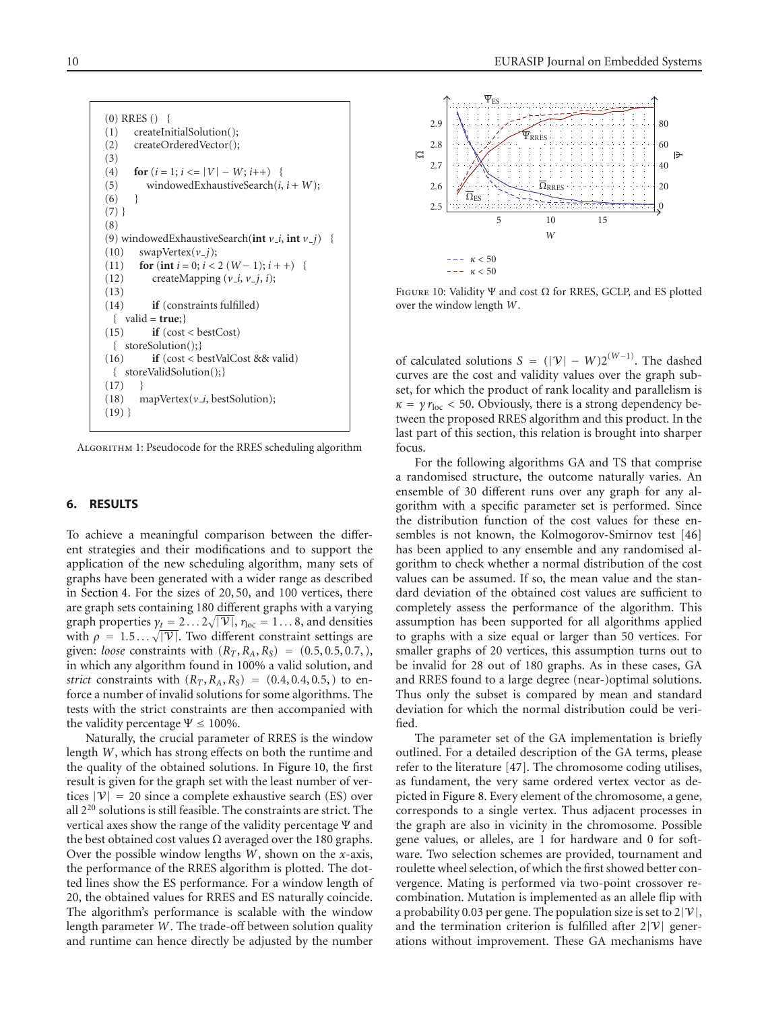(0) RRES  $() \{ (1) \}$  createIn createInitialSolution(); (2) createOrderedVector(); (3) (4) **for**  $(i = 1; i \le |V| - W; i++)$  {<br>(5) windowedExhaustiveSearch(*i*, windowedExhaustiveSearch $(i, i + W)$ ;  $(6)$  $(7)$ } (8) (9) windowedExhaustiveSearch(**int**  $v_i$ , **int**  $v_j$ ) {<br>(10) swapVertex( $v_i$ ); swapVertex( $v_j$ ); (11) **for** (**int**  $i = 0$ ;  $i < 2$  ( $W - 1$ );  $i + +$ ) {<br>(12) **createMapping** ( $v_i$ ,  $v_j$ ,  $i$ ); createMapping  $(v_i, v_i, i)$ ; (13) (14) **if** (constraints fulfilled) { valid = **true**;}<br>(15) **if** (cost (15) **if** (cost *<* bestCost) { storeSolution();}<br>(16) if (cost < b) (16) **if** (cost *<* bestValCost && valid) { storeValidSolution();}<br>17) }  $\frac{(17)}{(18)}$ mapVertex( $v_i$ , bestSolution);  $(19)$ }

Algorithm 1: Pseudocode for the RRES scheduling algorithm

## **6. RESULTS**

To achieve a meaningful comparison between the different strategies and their modifications and to support the application of the new scheduling algorithm, many sets of graphs have been generated with a wider range as described in Section 4. For the sizes of 20, 50, and 100 vertices, there are graph sets containing 180 different graphs with a varying graph properties  $\gamma_t = 2 \dots 2 \sqrt{|\mathcal{V}|}, r_{\text{loc}} = 1 \dots 8$ , and densities with  $\rho = 1.5 \dots \sqrt{|\mathcal{V}|}$ . Two different constraint settings are given: *loose* constraints with  $(R_T, R_A, R_S) = (0.5, 0.5, 0.7)$ , in which any algorithm found in 100% a valid solution, and *strict* constraints with  $(R_T, R_A, R_S) = (0.4, 0.4, 0.5, )$  to enforce a number of invalid solutions for some algorithms. The tests with the strict constraints are then accompanied with the validity percentage  $\Psi \le 100\%$ .

Naturally, the crucial parameter of RRES is the window length *W*, which has strong effects on both the runtime and the quality of the obtained solutions. In Figure 10, the first result is given for the graph set with the least number of vertices  $|\mathcal{V}| = 20$  since a complete exhaustive search (ES) over all 220 solutions is still feasible. The constraints are strict. The vertical axes show the range of the validity percentage Ψ and the best obtained cost values  $\Omega$  averaged over the 180 graphs. Over the possible window lengths *W*, shown on the *x*-axis, the performance of the RRES algorithm is plotted. The dotted lines show the ES performance. For a window length of 20, the obtained values for RRES and ES naturally coincide. The algorithm's performance is scalable with the window length parameter *W*. The trade-off between solution quality and runtime can hence directly be adjusted by the number



Figure 10: Validity Ψ and cost Ω for RRES, GCLP, and ES plotted over the window length *W*.

of calculated solutions  $S = (|\mathcal{V}| - W)2^{(W-1)}$ . The dashed curves are the cost and validity values over the graph subset, for which the product of rank locality and parallelism is  $\kappa = \gamma r_{\text{loc}} < 50$ . Obviously, there is a strong dependency between the proposed RRES algorithm and this product. In the last part of this section, this relation is brought into sharper focus.

For the following algorithms GA and TS that comprise a randomised structure, the outcome naturally varies. An ensemble of 30 different runs over any graph for any algorithm with a specific parameter set is performed. Since the distribution function of the cost values for these ensembles is not known, the Kolmogorov-Smirnov test [46] has been applied to any ensemble and any randomised algorithm to check whether a normal distribution of the cost values can be assumed. If so, the mean value and the standard deviation of the obtained cost values are sufficient to completely assess the performance of the algorithm. This assumption has been supported for all algorithms applied to graphs with a size equal or larger than 50 vertices. For smaller graphs of 20 vertices, this assumption turns out to be invalid for 28 out of 180 graphs. As in these cases, GA and RRES found to a large degree (near-)optimal solutions. Thus only the subset is compared by mean and standard deviation for which the normal distribution could be verified.

The parameter set of the GA implementation is briefly outlined. For a detailed description of the GA terms, please refer to the literature [47]. The chromosome coding utilises, as fundament, the very same ordered vertex vector as depicted in Figure 8. Every element of the chromosome, a gene, corresponds to a single vertex. Thus adjacent processes in the graph are also in vicinity in the chromosome. Possible gene values, or alleles, are 1 for hardware and 0 for software. Two selection schemes are provided, tournament and roulette wheel selection, of which the first showed better convergence. Mating is performed via two-point crossover recombination. Mutation is implemented as an allele flip with a probability 0.03 per gene. The population size is set to  $2|\mathcal{V}|$ , and the termination criterion is fulfilled after  $2|\mathcal{V}|$  generations without improvement. These GA mechanisms have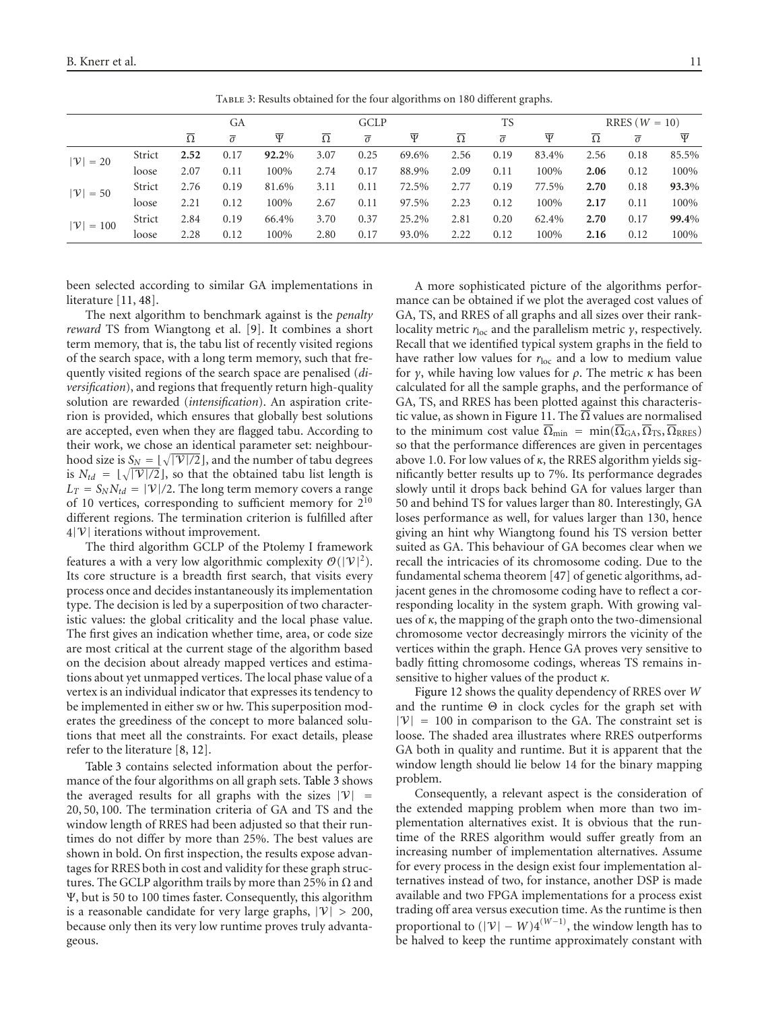Table 3: Results obtained for the four algorithms on 180 different graphs.

|                      |               | GА                  |                     |                   | <b>GCLP</b> |                     |                   | <b>TS</b>           |                     | RRES $(W = 10)$   |          |                     |                   |
|----------------------|---------------|---------------------|---------------------|-------------------|-------------|---------------------|-------------------|---------------------|---------------------|-------------------|----------|---------------------|-------------------|
|                      |               | $\overline{\Omega}$ | $\overline{\sigma}$ | $\overline{\Psi}$ | $\Omega$    | $\overline{\sigma}$ | $\overline{\Psi}$ | $\overline{\Omega}$ | $\overline{\sigma}$ | $\overline{\Psi}$ | $\Omega$ | $\overline{\sigma}$ | $\overline{\Psi}$ |
| $ \mathcal{V}  = 20$ | Strict        | 2.52                | 0.17                | 92.2%             | 3.07        | 0.25                | 69.6%             | 2.56                | 0.19                | 83.4%             | 2.56     | 0.18                | 85.5%             |
|                      | loose         | 2.07                | 0.11                | 100%              | 2.74        | 0.17                | 88.9%             | 2.09                | 0.11                | 100%              | 2.06     | 0.12                | 100%              |
| $ \mathcal{V}  = 50$ | <b>Strict</b> | 2.76                | 0.19                | 81.6%             | 3.11        | 0.11                | 72.5%             | 2.77                | 0.19                | 77.5%             | 2.70     | 0.18                | 93.3%             |
|                      | loose         | 2.21                | 0.12                | 100%              | 2.67        | 0.11                | 97.5%             | 2.23                | 0.12                | 100%              | 2.17     | 0.11                | 100%              |
| $ V  = 100$          | <b>Strict</b> | 2.84                | 0.19                | 66.4%             | 3.70        | 0.37                | 25.2%             | 2.81                | 0.20                | 62.4%             | 2.70     | 0.17                | 99.4%             |
|                      | loose         | 2.28                | 0.12                | 100%              | 2.80        | 0.17                | 93.0%             | 2.22                | 0.12                | 100%              | 2.16     | 0.12                | 100%              |

been selected according to similar GA implementations in literature [11, 48].

The next algorithm to benchmark against is the *penalty reward* TS from Wiangtong et al. [9]. It combines a short term memory, that is, the tabu list of recently visited regions of the search space, with a long term memory, such that frequently visited regions of the search space are penalised (*diversification*), and regions that frequently return high-quality solution are rewarded (*intensification*). An aspiration criterion is provided, which ensures that globally best solutions are accepted, even when they are flagged tabu. According to their work, we chose an identical parameter set: neighbourhood size is  $S_N = \lfloor \sqrt{|V|/2} \rfloor$ , and the number of tabu degrees is  $N_{td} = \lfloor \sqrt{|V|/2} \rfloor$ , so that the obtained tabu list length is  $L_T = S_N N_{td} = |\mathcal{V}|/2$ . The long term memory covers a range of 10 vertices, corresponding to sufficient memory for 2<sup>10</sup> different regions. The termination criterion is fulfilled after  $4|\mathcal{V}|$  iterations without improvement.

The third algorithm GCLP of the Ptolemy I framework features a with a very low algorithmic complexity  $\mathcal{O}(|\mathcal{V}|^2)$ . Its core structure is a breadth first search, that visits every process once and decides instantaneously its implementation type. The decision is led by a superposition of two characteristic values: the global criticality and the local phase value. The first gives an indication whether time, area, or code size are most critical at the current stage of the algorithm based on the decision about already mapped vertices and estimations about yet unmapped vertices. The local phase value of a vertex is an individual indicator that expresses its tendency to be implemented in either sw or hw. This superposition moderates the greediness of the concept to more balanced solutions that meet all the constraints. For exact details, please refer to the literature [8, 12].

Table 3 contains selected information about the performance of the four algorithms on all graph sets. Table 3 shows the averaged results for all graphs with the sizes  $|V|$  = 20, 50, 100. The termination criteria of GA and TS and the window length of RRES had been adjusted so that their runtimes do not differ by more than 25%. The best values are shown in bold. On first inspection, the results expose advantages for RRES both in cost and validity for these graph structures. The GCLP algorithm trails by more than 25% in  $\Omega$  and Ψ, but is 50 to 100 times faster. Consequently, this algorithm is a reasonable candidate for very large graphs,  $|\mathcal{V}| > 200$ , because only then its very low runtime proves truly advantageous.

A more sophisticated picture of the algorithms performance can be obtained if we plot the averaged cost values of GA, TS, and RRES of all graphs and all sizes over their ranklocality metric *r*loc and the parallelism metric *γ*, respectively. Recall that we identified typical system graphs in the field to have rather low values for  $r_{\text{loc}}$  and a low to medium value for *γ*, while having low values for *ρ*. The metric *κ* has been calculated for all the sample graphs, and the performance of GA, TS, and RRES has been plotted against this characteristic value, as shown in Figure 11. The  $\Omega$  values are normalised to the minimum cost value  $\overline{\Omega}_{min} = min(\overline{\Omega}_{GA}, \overline{\Omega}_{TS}, \overline{\Omega}_{RRES})$ so that the performance differences are given in percentages above 1*.*0. For low values of *κ*, the RRES algorithm yields significantly better results up to 7%. Its performance degrades slowly until it drops back behind GA for values larger than 50 and behind TS for values larger than 80. Interestingly, GA loses performance as well, for values larger than 130, hence giving an hint why Wiangtong found his TS version better suited as GA. This behaviour of GA becomes clear when we recall the intricacies of its chromosome coding. Due to the fundamental schema theorem [47] of genetic algorithms, adjacent genes in the chromosome coding have to reflect a corresponding locality in the system graph. With growing values of *κ*, the mapping of the graph onto the two-dimensional chromosome vector decreasingly mirrors the vicinity of the vertices within the graph. Hence GA proves very sensitive to badly fitting chromosome codings, whereas TS remains insensitive to higher values of the product *κ*.

Figure 12 shows the quality dependency of RRES over *W* and the runtime  $\Theta$  in clock cycles for the graph set with  $|\mathcal{V}| = 100$  in comparison to the GA. The constraint set is loose. The shaded area illustrates where RRES outperforms GA both in quality and runtime. But it is apparent that the window length should lie below 14 for the binary mapping problem.

Consequently, a relevant aspect is the consideration of the extended mapping problem when more than two implementation alternatives exist. It is obvious that the runtime of the RRES algorithm would suffer greatly from an increasing number of implementation alternatives. Assume for every process in the design exist four implementation alternatives instead of two, for instance, another DSP is made available and two FPGA implementations for a process exist trading off area versus execution time. As the runtime is then proportional to  $(|V| - W)4^{(W-1)}$ , the window length has to be halved to keep the runtime approximately constant with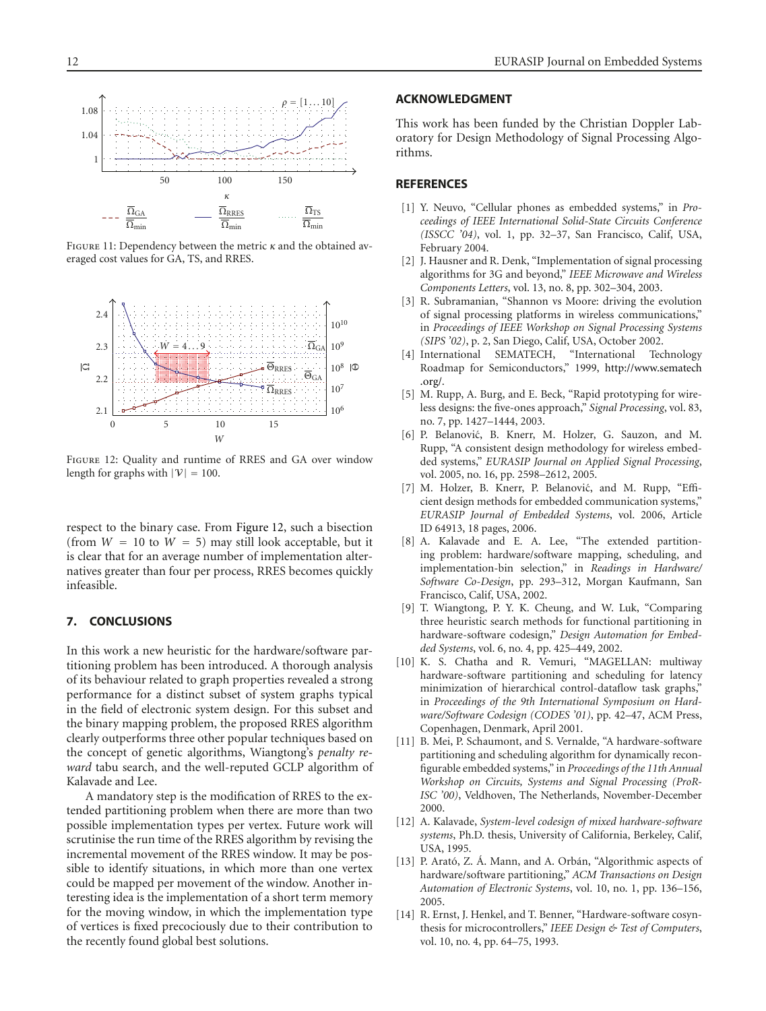

Figure 11: Dependency between the metric *κ* and the obtained averaged cost values for GA, TS, and RRES.



Figure 12: Quality and runtime of RRES and GA over window length for graphs with  $|\mathcal{V}| = 100$ .

respect to the binary case. From Figure 12, such a bisection (from  $W = 10$  to  $W = 5$ ) may still look acceptable, but it is clear that for an average number of implementation alternatives greater than four per process, RRES becomes quickly infeasible.

### **7. CONCLUSIONS**

In this work a new heuristic for the hardware/software partitioning problem has been introduced. A thorough analysis of its behaviour related to graph properties revealed a strong performance for a distinct subset of system graphs typical in the field of electronic system design. For this subset and the binary mapping problem, the proposed RRES algorithm clearly outperforms three other popular techniques based on the concept of genetic algorithms, Wiangtong's *penalty reward* tabu search, and the well-reputed GCLP algorithm of Kalavade and Lee.

A mandatory step is the modification of RRES to the extended partitioning problem when there are more than two possible implementation types per vertex. Future work will scrutinise the run time of the RRES algorithm by revising the incremental movement of the RRES window. It may be possible to identify situations, in which more than one vertex could be mapped per movement of the window. Another interesting idea is the implementation of a short term memory for the moving window, in which the implementation type of vertices is fixed precociously due to their contribution to the recently found global best solutions.

#### **ACKNOWLEDGMENT**

This work has been funded by the Christian Doppler Laboratory for Design Methodology of Signal Processing Algorithms.

## **REFERENCES**

- [1] Y. Neuvo, "Cellular phones as embedded systems," in *Proceedings of IEEE International Solid-State Circuits Conference (ISSCC '04)*, vol. 1, pp. 32–37, San Francisco, Calif, USA, February 2004.
- [2] J. Hausner and R. Denk, "Implementation of signal processing algorithms for 3G and beyond," *IEEE Microwave and Wireless Components Letters*, vol. 13, no. 8, pp. 302–304, 2003.
- [3] R. Subramanian, "Shannon vs Moore: driving the evolution of signal processing platforms in wireless communications," in *Proceedings of IEEE Workshop on Signal Processing Systems (SIPS '02)*, p. 2, San Diego, Calif, USA, October 2002.
- [4] International SEMATECH, "International Technology Roadmap for Semiconductors," 1999, http://www.sematech .org/.
- [5] M. Rupp, A. Burg, and E. Beck, "Rapid prototyping for wireless designs: the five-ones approach," *Signal Processing*, vol. 83, no. 7, pp. 1427–1444, 2003.
- [6] P. Belanović, B. Knerr, M. Holzer, G. Sauzon, and M. Rupp, "A consistent design methodology for wireless embedded systems," *EURASIP Journal on Applied Signal Processing*, vol. 2005, no. 16, pp. 2598–2612, 2005.
- [7] M. Holzer, B. Knerr, P. Belanović, and M. Rupp, "Efficient design methods for embedded communication systems," *EURASIP Journal of Embedded Systems*, vol. 2006, Article ID 64913, 18 pages, 2006.
- [8] A. Kalavade and E. A. Lee, "The extended partitioning problem: hardware/software mapping, scheduling, and implementation-bin selection," in *Readings in Hardware/ Software Co-Design*, pp. 293–312, Morgan Kaufmann, San Francisco, Calif, USA, 2002.
- [9] T. Wiangtong, P. Y. K. Cheung, and W. Luk, "Comparing three heuristic search methods for functional partitioning in hardware-software codesign," *Design Automation for Embedded Systems*, vol. 6, no. 4, pp. 425–449, 2002.
- [10] K. S. Chatha and R. Vemuri, "MAGELLAN: multiway hardware-software partitioning and scheduling for latency minimization of hierarchical control-dataflow task graphs," in *Proceedings of the 9th International Symposium on Hardware/Software Codesign (CODES '01)*, pp. 42–47, ACM Press, Copenhagen, Denmark, April 2001.
- [11] B. Mei, P. Schaumont, and S. Vernalde, "A hardware-software partitioning and scheduling algorithm for dynamically reconfigurable embedded systems," in *Proceedings of the 11th Annual Workshop on Circuits, Systems and Signal Processing (ProR-ISC '00)*, Veldhoven, The Netherlands, November-December 2000.
- [12] A. Kalavade, *System-level codesign of mixed hardware-software systems*, Ph.D. thesis, University of California, Berkeley, Calif, USA, 1995.
- [13] P. Arató, Z. Á. Mann, and A. Orbán, "Algorithmic aspects of hardware/software partitioning," *ACM Transactions on Design Automation of Electronic Systems*, vol. 10, no. 1, pp. 136–156, 2005.
- [14] R. Ernst, J. Henkel, and T. Benner, "Hardware-software cosynthesis for microcontrollers," *IEEE Design & Test of Computers*, vol. 10, no. 4, pp. 64–75, 1993.